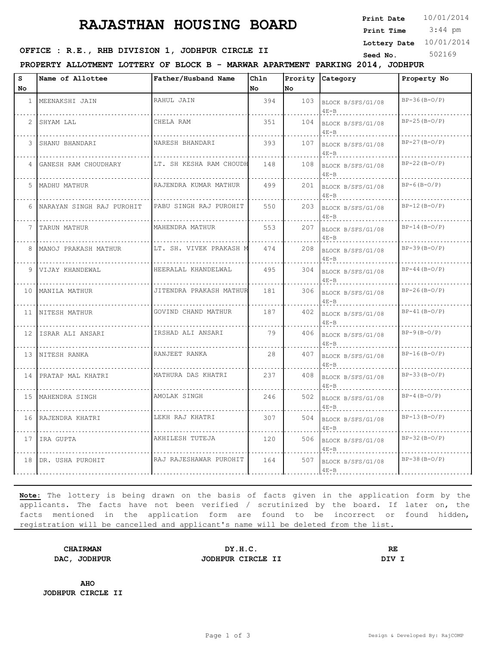# **RAJASTHAN HOUSING BOARD**

**Print Date**  $10/01/2014$ 

 3:44 pm **Print Time**

**Lottery Date** 10/01/2014

## **SEED OFFICE : R.E., RHB DIVISION 1, JODHPUR CIRCLE II** Seed No. 502169

**PROPERTY ALLOTMENT LOTTERY OF BLOCK B - MARWAR APARTMENT PARKING 2014, JODHPUR**

| S<br>No | Name of Allottee            | Father/Husband Name     | Chln<br>No | No  | Prority Category              | Property No    |
|---------|-----------------------------|-------------------------|------------|-----|-------------------------------|----------------|
|         |                             |                         |            |     |                               |                |
|         | 1   MEENAKSHI JAIN          | RAHUL JAIN              | 394        | 103 | BLOCK B/SFS/G1/08<br>$4E - B$ | $BP-36(B-0/P)$ |
|         | 2 SHYAM LAL                 | CHELA RAM               | 351        | 104 | BLOCK B/SFS/G1/08<br>$4E-B$   | $BP-25(B-0/P)$ |
|         | 3 SHANU BHANDARI            | NARESH BHANDARI         | 393        | 107 | BLOCK B/SFS/G1/08<br>$4E - B$ | $BP-27(B-0/P)$ |
|         | 4 GANESH RAM CHOUDHARY      | LT. SH KESHA RAM CHOUDH | 148        | 108 | BLOCK B/SFS/G1/08<br>$4E - B$ | $BP-22(B-0/P)$ |
|         | 5 MADHU MATHUR              | RAJENDRA KUMAR MATHUR   | 499        | 201 | BLOCK B/SFS/G1/08<br>$4E - B$ | $BP-6(B-O/P)$  |
|         | 6 NARAYAN SINGH RAJ PUROHIT | PABU SINGH RAJ PUROHIT  | 550        | 203 | BLOCK B/SFS/G1/08<br>$4E - B$ | $BP-12(B-O/P)$ |
|         | 7 TARUN MATHUR              | MAHENDRA MATHUR         | 553        | 207 | BLOCK B/SFS/G1/08<br>$4E - B$ | $BP-14(B-O/P)$ |
|         | 8   MANOJ PRAKASH MATHUR    | LT. SH. VIVEK PRAKASH M | 474        | 208 | BLOCK B/SFS/G1/08<br>$4E-B$   | $BP-39(B-0/P)$ |
|         | 9 VIJAY KHANDEWAL           | HEERALAL KHANDELWAL     | 495        | 304 | BLOCK B/SFS/G1/08<br>$4E - B$ | $BP-44(B-O/P)$ |
|         | 10 MANILA MATHUR            | JITENDRA PRAKASH MATHUR | 181        | 306 | BLOCK B/SFS/G1/08<br>$4E-B$   | $BP-26(B-O/P)$ |
|         | 11 NITESH MATHUR            | GOVIND CHAND MATHUR     | 187        | 402 | BLOCK B/SFS/G1/08<br>$4E-B$   | $BP-41(B-O/P)$ |
|         | 12 ISRAR ALI ANSARI         | IRSHAD ALI ANSARI       | 79         | 406 | BLOCK B/SFS/G1/08<br>$4E - B$ | $BP-9(B-O/P)$  |
|         | 13 NITESH RANKA             | RANJEET RANKA           | 28         | 407 | BLOCK B/SFS/G1/08<br>$4E - B$ | $BP-16(B-O/P)$ |
|         | 14 PRATAP MAL KHATRI        | MATHURA DAS KHATRI      | 237        | 408 | BLOCK B/SFS/G1/08<br>$4E - B$ | $BP-33(B-0/P)$ |
|         | 15 MAHENDRA SINGH           | AMOLAK SINGH            | 246        | 502 | BLOCK B/SFS/G1/08<br>$4E - B$ | $BP-4(B-O/P)$  |
|         | 16 RAJENDRA KHATRI          | LEKH RAJ KHATRI         | 307        | 504 | BLOCK B/SFS/G1/08<br>$4E-B$   | $BP-13(B-O/P)$ |
|         | 17 IRA GUPTA                | AKHILESH TUTEJA         | 120        | 506 | BLOCK B/SFS/G1/08<br>$4E - B$ | $BP-32(B-O/P)$ |
|         | 18 DR. USHA PUROHIT         | RAJ RAJESHAWAR PUROHIT  | 164        | 507 | BLOCK B/SFS/G1/08<br>$4E - B$ | $BP-38(B-O/P)$ |

**Note:** The lottery is being drawn on the basis of facts given in the application form by the applicants. The facts have not been verified / scrutinized by the board. If later on, the facts mentioned in the application form are found to be incorrect or found hidden, registration will be cancelled and applicant's name will be deleted from the list.

**CHAIRMAN DY.H.C. RE DAC, JODHPUR JODHPUR CIRCLE II DIV I**

**AHO JODHPUR CIRCLE II**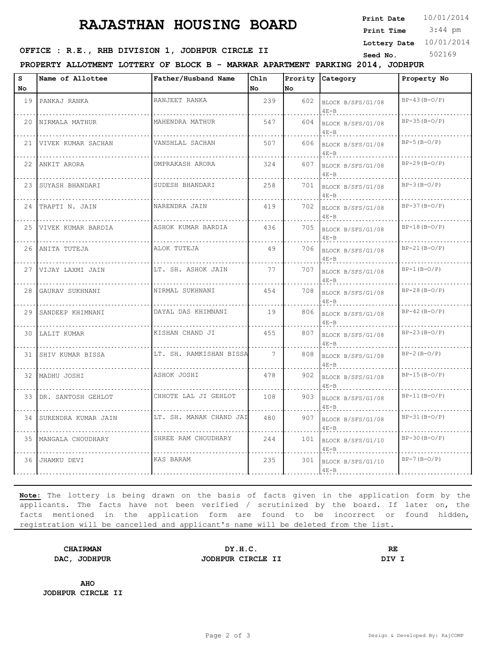# **RAJASTHAN HOUSING BOARD**

**Print Date**  $10/01/2014$ 

 3:44 pm **Print Time**

**Lottery Date** 10/01/2014

### **SEED OFFICE : R.E., RHB DIVISION 1, JODHPUR CIRCLE II** Seed No. 502169

**PROPERTY ALLOTMENT LOTTERY OF BLOCK B - MARWAR APARTMENT PARKING 2014, JODHPUR**

| s<br>No | Name of Allottee       | Father/Husband Name     | Chln<br>No.     | No  | Prority Category              | Property No    |
|---------|------------------------|-------------------------|-----------------|-----|-------------------------------|----------------|
|         | 19 PANKAJ RANKA        | RANJEET RANKA           | 239             | 602 | BLOCK B/SFS/G1/08<br>$4E-B$   | $BP-43(B-O/P)$ |
|         | 20 NIRMALA MATHUR      | MAHENDRA MATHUR         | 547             | 604 | BLOCK B/SFS/G1/08<br>$4E - B$ | $BP-35(B-O/P)$ |
|         | 21 VIVEK KUMAR SACHAN  | VANSHLAL SACHAN         | 507             | 606 | BLOCK B/SFS/G1/08<br>$4E - B$ | $BP-5(B-O/P)$  |
|         | 22 ANKIT ARORA         | OMPRAKASH ARORA         | 324             | 607 | BLOCK B/SFS/G1/08<br>$4E - B$ | $BP-29(B-0/P)$ |
|         | 23 SUYASH BHANDARI     | SUDESH BHANDARI         | 258             | 701 | BLOCK B/SFS/G1/08<br>$4E - B$ | $BP-3(B-O/P)$  |
|         | 24 TRAPTI N. JAIN      | NARENDRA JAIN           | 419             | 702 | BLOCK B/SFS/G1/08<br>$4E - B$ | $BP-37(B-O/P)$ |
|         | 25 VIVEK KUMAR BARDIA  | ASHOK KUMAR BARDIA      | 436             | 705 | BLOCK B/SFS/G1/08<br>$4E - B$ | $BP-18(B-O/P)$ |
|         | 26 ANITA TUTEJA        | ALOK TUTEJA             | 49              | 706 | BLOCK B/SFS/G1/08<br>$4E - B$ | $BP-21(B-0/P)$ |
|         | 27 VIJAY LAXMI JAIN    | LT. SH. ASHOK JAIN      | 77              | 707 | BLOCK B/SFS/G1/08<br>$4E - B$ | $BP-1(B-O/P)$  |
| 28      | GAURAV SUKHNANI        | NIRMAL SUKHNANI         | 454             | 708 | BLOCK B/SFS/G1/08<br>$4E - B$ | $BP-28(B-O/P)$ |
| 29      | SANDEEP KHIMNANI       | DAYAL DAS KHIMNANI      | 19              | 806 | BLOCK B/SFS/G1/08<br>$4E - B$ | $BP-42(B-O/P)$ |
|         | 30 LALIT KUMAR         | KISHAN CHAND JI         | 455             | 807 | BLOCK B/SFS/G1/08<br>$4E-B$   | $BP-23(B-0/P)$ |
|         | 31 SHIV KUMAR BISSA    | LT. SH. RAMKISHAN BISSA | $7\phantom{.0}$ | 808 | BLOCK B/SFS/G1/08<br>$4E - B$ | $BP-2(B-O/P)$  |
|         | 32 MADHU JOSHI         | ASHOK JOSHI             | 478             | 902 | BLOCK B/SFS/G1/08<br>$4E - B$ | $BP-15(B-O/P)$ |
|         | 33 DR. SANTOSH GEHLOT  | CHHOTE LAL JI GEHLOT    | 108             | 903 | BLOCK B/SFS/G1/08<br>$4E - B$ | $BP-11(B-O/P)$ |
|         | 34 SURENDRA KUMAR JAIN | LT. SH. MANAK CHAND JAI | 480             | 907 | BLOCK B/SFS/G1/08<br>$4E - B$ | $BP-31(B-O/P)$ |
|         | 35   MANGALA CHOUDHARY | SHREE RAM CHOUDHARY     | 244             | 101 | BLOCK B/SFS/G1/10<br>$4E - B$ | $BP-30(B-0/P)$ |
| 36      | JHAMKU DEVI            | KAS BARAM               | 235             | 301 | BLOCK B/SFS/G1/10<br>$4E-B$   | $BP-7(B-O/P)$  |

**Note:** The lottery is being drawn on the basis of facts given in the application form by the applicants. The facts have not been verified / scrutinized by the board. If later on, the facts mentioned in the application form are found to be incorrect or found hidden, registration will be cancelled and applicant's name will be deleted from the list.

**CHAIRMAN DY.H.C. RE DAC, JODHPUR JODHPUR CIRCLE II DIV I**

**AHO JODHPUR CIRCLE II**